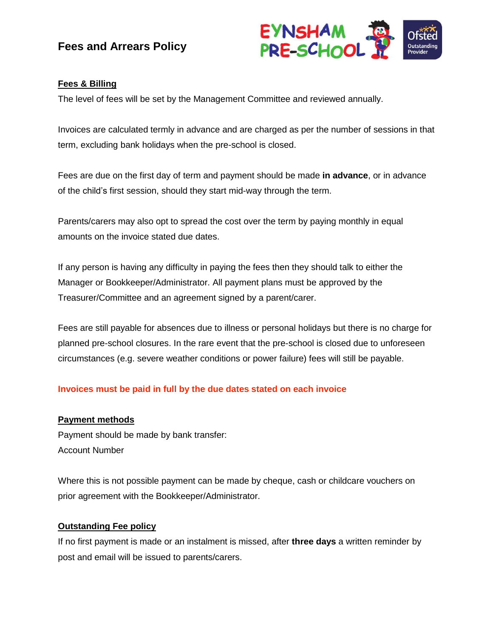# **Fees and Arrears Policy**



## **Fees & Billing**

The level of fees will be set by the Management Committee and reviewed annually.

Invoices are calculated termly in advance and are charged as per the number of sessions in that term, excluding bank holidays when the pre-school is closed.

Fees are due on the first day of term and payment should be made **in advance**, or in advance of the child's first session, should they start mid-way through the term.

Parents/carers may also opt to spread the cost over the term by paying monthly in equal amounts on the invoice stated due dates.

If any person is having any difficulty in paying the fees then they should talk to either the Manager or Bookkeeper/Administrator. All payment plans must be approved by the Treasurer/Committee and an agreement signed by a parent/carer.

Fees are still payable for absences due to illness or personal holidays but there is no charge for planned pre-school closures. In the rare event that the pre-school is closed due to unforeseen circumstances (e.g. severe weather conditions or power failure) fees will still be payable.

### **Invoices must be paid in full by the due dates stated on each invoice**

### **Payment methods**

Payment should be made by bank transfer: Account Number

Where this is not possible payment can be made by cheque, cash or childcare vouchers on prior agreement with the Bookkeeper/Administrator.

### **Outstanding Fee policy**

If no first payment is made or an instalment is missed, after **three days** a written reminder by post and email will be issued to parents/carers.